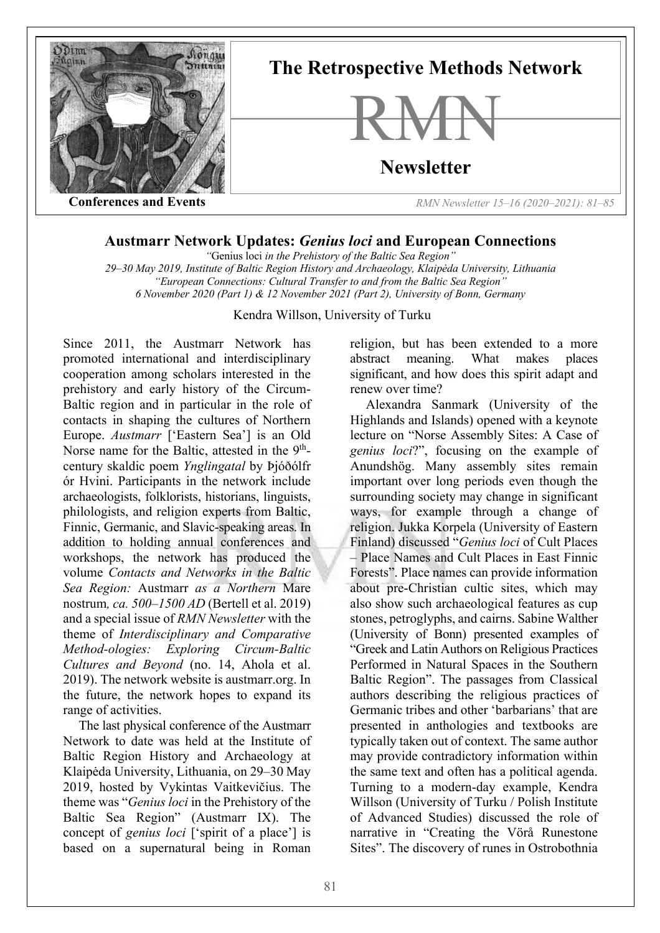

## **Austmarr Network Updates:** *Genius loci* **and European Connections**

*"*Genius loci *in the Prehistory of the Baltic Sea Region"*

*29–30 May 2019, Institute of Baltic Region History and Archaeology, Klaipėda University, Lithuania "European Connections: Cultural Transfer to and from the Baltic Sea Region" 6 November 2020 (Part 1) & 12 November 2021 (Part 2), University of Bonn, Germany*

Kendra Willson, University of Turku

Since 2011, the Austmarr Network has promoted international and interdisciplinary cooperation among scholars interested in the prehistory and early history of the Circum-Baltic region and in particular in the role of contacts in shaping the cultures of Northern Europe. *Austmarr* ['Eastern Sea'] is an Old Norse name for the Baltic, attested in the 9<sup>th</sup>century skaldic poem *Ynglingatal* by Þjóðólfr ór Hvini. Participants in the network include archaeologists, folklorists, historians, linguists, philologists, and religion experts from Baltic, Finnic, Germanic, and Slavic-speaking areas. In addition to holding annual conferences and workshops, the network has produced the volume *Contacts and Networks in the Baltic Sea Region:* Austmarr *as a Northern* Mare nostrum*, ca. 500–1500 AD* (Bertell et al. 2019) and a special issue of *RMN Newsletter* with the theme of *Interdisciplinary and Comparative Method-ologies: Exploring Circum-Baltic Cultures and Beyond* (no. 14, Ahola et al. 2019). The network website is austmarr.org. In the future, the network hopes to expand its range of activities.

The last physical conference of the Austmarr Network to date was held at the Institute of Baltic Region History and Archaeology at Klaipėda University, Lithuania, on 29–30 May 2019, hosted by Vykintas Vaitkevičius. The theme was "*Genius loci* in the Prehistory of the Baltic Sea Region" (Austmarr IX). The concept of *genius loci* ['spirit of a place'] is based on a supernatural being in Roman

religion, but has been extended to a more abstract meaning. What makes places significant, and how does this spirit adapt and renew over time?

Alexandra Sanmark (University of the Highlands and Islands) opened with a keynote lecture on "Norse Assembly Sites: A Case of *genius loci*?", focusing on the example of Anundshög. Many assembly sites remain important over long periods even though the surrounding society may change in significant ways, for example through a change of religion. Jukka Korpela (University of Eastern Finland) discussed "*Genius loci* of Cult Places – Place Names and Cult Places in East Finnic Forests". Place names can provide information about pre-Christian cultic sites, which may also show such archaeological features as cup stones, petroglyphs, and cairns. Sabine Walther (University of Bonn) presented examples of "Greek and Latin Authors on Religious Practices Performed in Natural Spaces in the Southern Baltic Region". The passages from Classical authors describing the religious practices of Germanic tribes and other 'barbarians' that are presented in anthologies and textbooks are typically taken out of context. The same author may provide contradictory information within the same text and often has a political agenda. Turning to a modern-day example, Kendra Willson (University of Turku / Polish Institute of Advanced Studies) discussed the role of narrative in "Creating the Vörå Runestone Sites". The discovery of runes in Ostrobothnia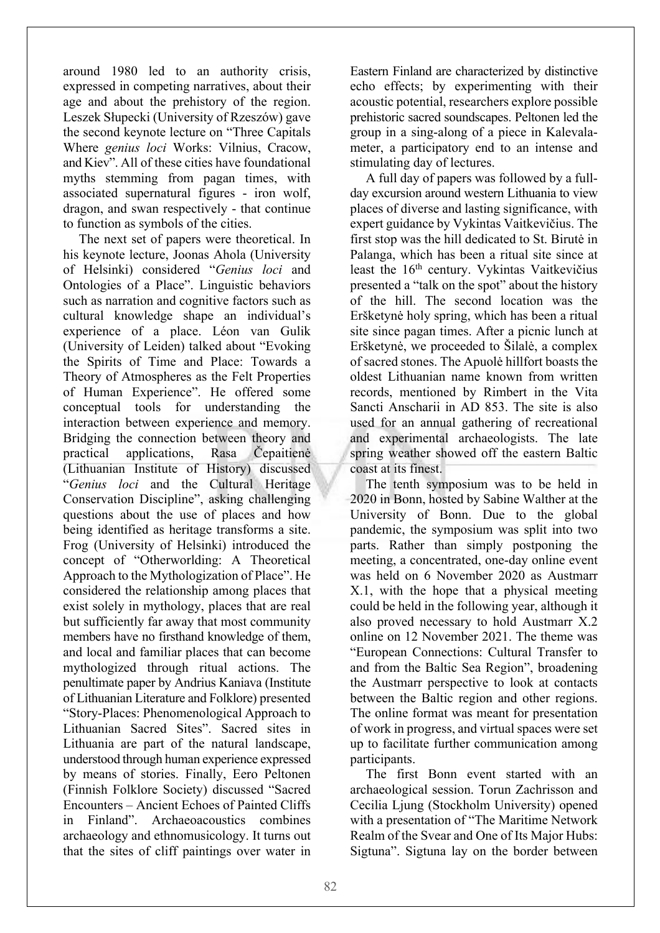around 1980 led to an authority crisis, expressed in competing narratives, about their age and about the prehistory of the region. Leszek Słupecki (University of Rzeszów) gave the second keynote lecture on "Three Capitals Where *genius loci* Works: Vilnius, Cracow, and Kiev". All of these cities have foundational myths stemming from pagan times, with associated supernatural figures - iron wolf, dragon, and swan respectively - that continue to function as symbols of the cities.

The next set of papers were theoretical. In his keynote lecture, Joonas Ahola (University of Helsinki) considered "*Genius loci* and Ontologies of a Place". Linguistic behaviors such as narration and cognitive factors such as cultural knowledge shape an individual's experience of a place. Léon van Gulik (University of Leiden) talked about "Evoking the Spirits of Time and Place: Towards a Theory of Atmospheres as the Felt Properties of Human Experience". He offered some conceptual tools for understanding the interaction between experience and memory. Bridging the connection between theory and practical applications, Rasa Čepaitienė (Lithuanian Institute of History) discussed "*Genius loci* and the Cultural Heritage Conservation Discipline", asking challenging questions about the use of places and how being identified as heritage transforms a site. Frog (University of Helsinki) introduced the concept of "Otherworlding: A Theoretical Approach to the Mythologization of Place". He considered the relationship among places that exist solely in mythology, places that are real but sufficiently far away that most community members have no firsthand knowledge of them, and local and familiar places that can become mythologized through ritual actions. The penultimate paper by Andrius Kaniava (Institute of Lithuanian Literature and Folklore) presented "Story-Places: Phenomenological Approach to Lithuanian Sacred Sites". Sacred sites in Lithuania are part of the natural landscape, understood through human experience expressed by means of stories. Finally, Eero Peltonen (Finnish Folklore Society) discussed "Sacred Encounters – Ancient Echoes of Painted Cliffs in Finland". Archaeoacoustics combines archaeology and ethnomusicology. It turns out that the sites of cliff paintings over water in

Eastern Finland are characterized by distinctive echo effects; by experimenting with their acoustic potential, researchers explore possible prehistoric sacred soundscapes. Peltonen led the group in a sing-along of a piece in Kalevalameter, a participatory end to an intense and stimulating day of lectures.

A full day of papers was followed by a fullday excursion around western Lithuania to view places of diverse and lasting significance, with expert guidance by Vykintas Vaitkevičius. The first stop was the hill dedicated to St. Birutė in Palanga, which has been a ritual site since at least the 16<sup>th</sup> century. Vykintas Vaitkevičius presented a "talk on the spot" about the history of the hill. The second location was the Eršketynė holy spring, which has been a ritual site since pagan times. After a picnic lunch at Eršketynė, we proceeded to Šilalė, a complex of sacred stones. The Apuolė hillfort boasts the oldest Lithuanian name known from written records, mentioned by Rimbert in the Vita Sancti Anscharii in AD 853. The site is also used for an annual gathering of recreational and experimental archaeologists. The late spring weather showed off the eastern Baltic coast at its finest.

The tenth symposium was to be held in 2020 in Bonn, hosted by Sabine Walther at the University of Bonn. Due to the global pandemic, the symposium was split into two parts. Rather than simply postponing the meeting, a concentrated, one-day online event was held on 6 November 2020 as Austmarr X.1, with the hope that a physical meeting could be held in the following year, although it also proved necessary to hold Austmarr X.2 online on 12 November 2021. The theme was "European Connections: Cultural Transfer to and from the Baltic Sea Region", broadening the Austmarr perspective to look at contacts between the Baltic region and other regions. The online format was meant for presentation of work in progress, and virtual spaces were set up to facilitate further communication among participants.

The first Bonn event started with an archaeological session. Torun Zachrisson and Cecilia Ljung (Stockholm University) opened with a presentation of "The Maritime Network Realm of the Svear and One of Its Major Hubs: Sigtuna". Sigtuna lay on the border between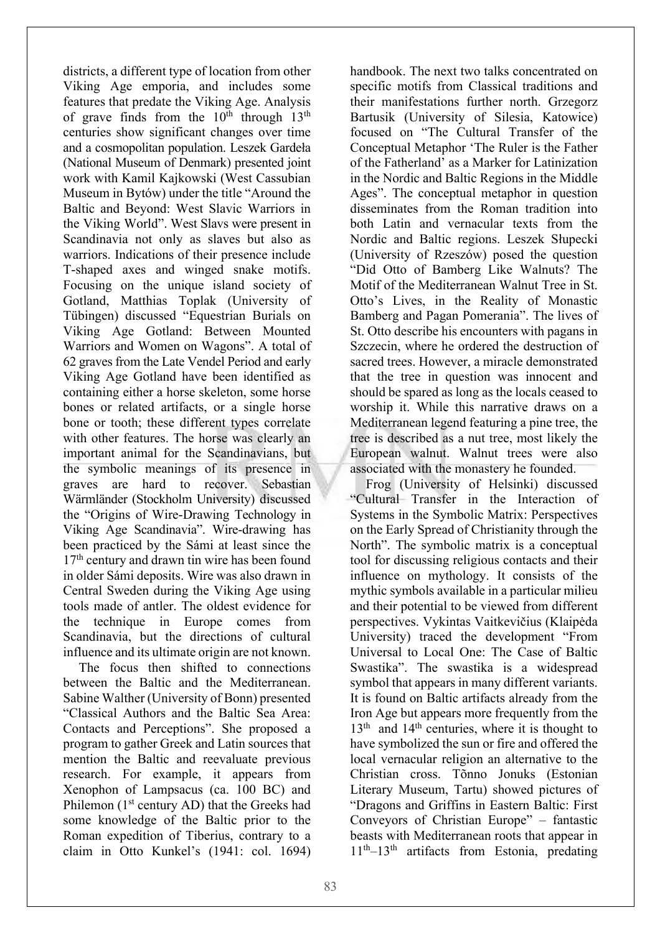districts, a different type of location from other Viking Age emporia, and includes some features that predate the Viking Age. Analysis of grave finds from the  $10<sup>th</sup>$  through  $13<sup>th</sup>$ centuries show significant changes over time and a cosmopolitan population. Leszek Gardeła (National Museum of Denmark) presented joint work with Kamil Kajkowski (West Cassubian Museum in Bytów) under the title "Around the Baltic and Beyond: West Slavic Warriors in the Viking World". West Slavs were present in Scandinavia not only as slaves but also as warriors. Indications of their presence include T-shaped axes and winged snake motifs. Focusing on the unique island society of Gotland, Matthias Toplak (University of Tübingen) discussed "Equestrian Burials on Viking Age Gotland: Between Mounted Warriors and Women on Wagons". A total of 62 graves from the Late Vendel Period and early Viking Age Gotland have been identified as containing either a horse skeleton, some horse bones or related artifacts, or a single horse bone or tooth; these different types correlate with other features. The horse was clearly an important animal for the Scandinavians, but the symbolic meanings of its presence in graves are hard to recover. Sebastian Wärmländer (Stockholm University) discussed the "Origins of Wire-Drawing Technology in Viking Age Scandinavia". Wire-drawing has been practiced by the Sámi at least since the 17<sup>th</sup> century and drawn tin wire has been found in older Sámi deposits. Wire was also drawn in Central Sweden during the Viking Age using tools made of antler. The oldest evidence for the technique in Europe comes from Scandinavia, but the directions of cultural influence and its ultimate origin are not known.

The focus then shifted to connections between the Baltic and the Mediterranean. Sabine Walther (University of Bonn) presented "Classical Authors and the Baltic Sea Area: Contacts and Perceptions". She proposed a program to gather Greek and Latin sources that mention the Baltic and reevaluate previous research. For example, it appears from Xenophon of Lampsacus (ca. 100 BC) and Philemon (1<sup>st</sup> century AD) that the Greeks had some knowledge of the Baltic prior to the Roman expedition of Tiberius, contrary to a claim in Otto Kunkel's (1941: col. 1694)

handbook. The next two talks concentrated on specific motifs from Classical traditions and their manifestations further north. Grzegorz Bartusik (University of Silesia, Katowice) focused on "The Cultural Transfer of the Conceptual Metaphor 'The Ruler is the Father of the Fatherland' as a Marker for Latinization in the Nordic and Baltic Regions in the Middle Ages". The conceptual metaphor in question disseminates from the Roman tradition into both Latin and vernacular texts from the Nordic and Baltic regions. Leszek Słupecki (University of Rzeszów) posed the question "Did Otto of Bamberg Like Walnuts? The Motif of the Mediterranean Walnut Tree in St. Otto's Lives, in the Reality of Monastic Bamberg and Pagan Pomerania". The lives of St. Otto describe his encounters with pagans in Szczecin, where he ordered the destruction of sacred trees. However, a miracle demonstrated that the tree in question was innocent and should be spared as long as the locals ceased to worship it. While this narrative draws on a Mediterranean legend featuring a pine tree, the tree is described as a nut tree, most likely the European walnut. Walnut trees were also associated with the monastery he founded.

Frog (University of Helsinki) discussed "Cultural Transfer in the Interaction of Systems in the Symbolic Matrix: Perspectives on the Early Spread of Christianity through the North". The symbolic matrix is a conceptual tool for discussing religious contacts and their influence on mythology. It consists of the mythic symbols available in a particular milieu and their potential to be viewed from different perspectives. Vykintas Vaitkevičius (Klaipėda University) traced the development "From Universal to Local One: The Case of Baltic Swastika". The swastika is a widespread symbol that appears in many different variants. It is found on Baltic artifacts already from the Iron Age but appears more frequently from the  $13<sup>th</sup>$  and  $14<sup>th</sup>$  centuries, where it is thought to have symbolized the sun or fire and offered the local vernacular religion an alternative to the Christian cross. Tõnno Jonuks (Estonian Literary Museum, Tartu) showed pictures of "Dragons and Griffins in Eastern Baltic: First Conveyors of Christian Europe" – fantastic beasts with Mediterranean roots that appear in  $11<sup>th</sup>$ –13<sup>th</sup> artifacts from Estonia, predating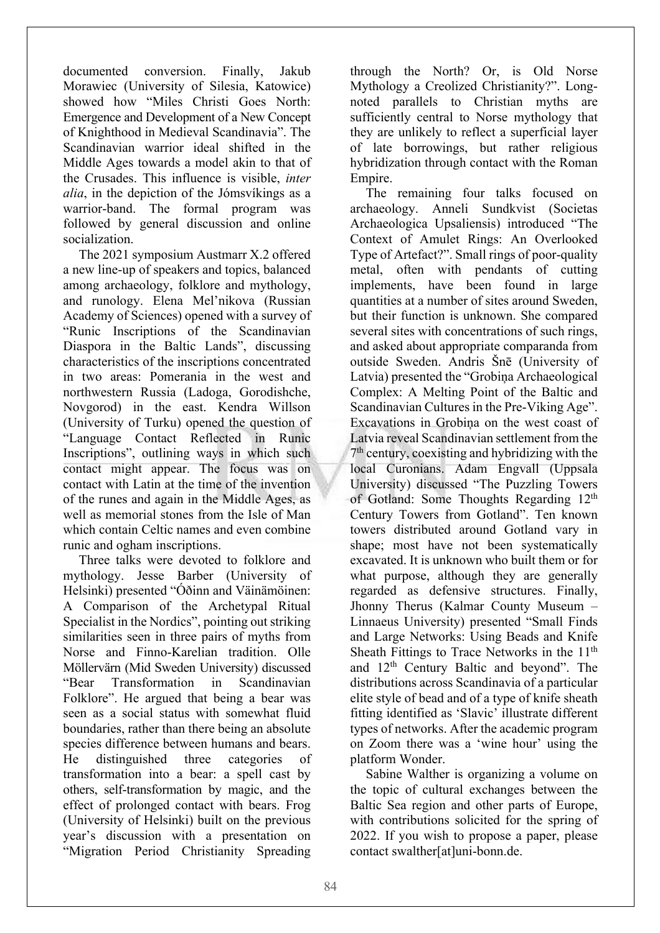documented conversion. Finally, Jakub Morawiec (University of Silesia, Katowice) showed how "Miles Christi Goes North: Emergence and Development of a New Concept of Knighthood in Medieval Scandinavia". The Scandinavian warrior ideal shifted in the Middle Ages towards a model akin to that of the Crusades. This influence is visible, *inter alia*, in the depiction of the Jómsvíkings as a warrior-band. The formal program was followed by general discussion and online socialization.

The 2021 symposium Austmarr X.2 offered a new line-up of speakers and topics, balanced among archaeology, folklore and mythology, and runology. Elena Mel'nikova (Russian Academy of Sciences) opened with a survey of "Runic Inscriptions of the Scandinavian Diaspora in the Baltic Lands", discussing characteristics of the inscriptions concentrated in two areas: Pomerania in the west and northwestern Russia (Ladoga, Gorodishche, Novgorod) in the east. Kendra Willson (University of Turku) opened the question of "Language Contact Reflected in Runic Inscriptions", outlining ways in which such contact might appear. The focus was on contact with Latin at the time of the invention of the runes and again in the Middle Ages, as well as memorial stones from the Isle of Man which contain Celtic names and even combine runic and ogham inscriptions.

Three talks were devoted to folklore and mythology. Jesse Barber (University of Helsinki) presented "Óðinn and Väinämöinen: A Comparison of the Archetypal Ritual Specialist in the Nordics", pointing out striking similarities seen in three pairs of myths from Norse and Finno-Karelian tradition. Olle Möllervärn (Mid Sweden University) discussed "Bear Transformation in Scandinavian Folklore". He argued that being a bear was seen as a social status with somewhat fluid boundaries, rather than there being an absolute species difference between humans and bears. He distinguished three categories of transformation into a bear: a spell cast by others, self-transformation by magic, and the effect of prolonged contact with bears. Frog (University of Helsinki) built on the previous year's discussion with a presentation on "Migration Period Christianity Spreading

through the North? Or, is Old Norse Mythology a Creolized Christianity?". Longnoted parallels to Christian myths are sufficiently central to Norse mythology that they are unlikely to reflect a superficial layer of late borrowings, but rather religious hybridization through contact with the Roman Empire.

The remaining four talks focused on archaeology. Anneli Sundkvist (Societas Archaeologica Upsaliensis) introduced "The Context of Amulet Rings: An Overlooked Type of Artefact?". Small rings of poor-quality metal, often with pendants of cutting implements, have been found in large quantities at a number of sites around Sweden, but their function is unknown. She compared several sites with concentrations of such rings, and asked about appropriate comparanda from outside Sweden. Andris Šnē (University of Latvia) presented the "Grobiņa Archaeological Complex: A Melting Point of the Baltic and Scandinavian Cultures in the Pre-Viking Age". Excavations in Grobiņa on the west coast of Latvia reveal Scandinavian settlement from the 7th century, coexisting and hybridizing with the local Curonians. Adam Engvall (Uppsala University) discussed "The Puzzling Towers of Gotland: Some Thoughts Regarding 12<sup>th</sup> Century Towers from Gotland". Ten known towers distributed around Gotland vary in shape; most have not been systematically excavated. It is unknown who built them or for what purpose, although they are generally regarded as defensive structures. Finally, Jhonny Therus (Kalmar County Museum – Linnaeus University) presented "Small Finds and Large Networks: Using Beads and Knife Sheath Fittings to Trace Networks in the 11<sup>th</sup> and 12th Century Baltic and beyond". The distributions across Scandinavia of a particular elite style of bead and of a type of knife sheath fitting identified as 'Slavic' illustrate different types of networks. After the academic program on Zoom there was a 'wine hour' using the platform Wonder.

Sabine Walther is organizing a volume on the topic of cultural exchanges between the Baltic Sea region and other parts of Europe, with contributions solicited for the spring of 2022. If you wish to propose a paper, please contact swalther[at]uni-bonn.de.